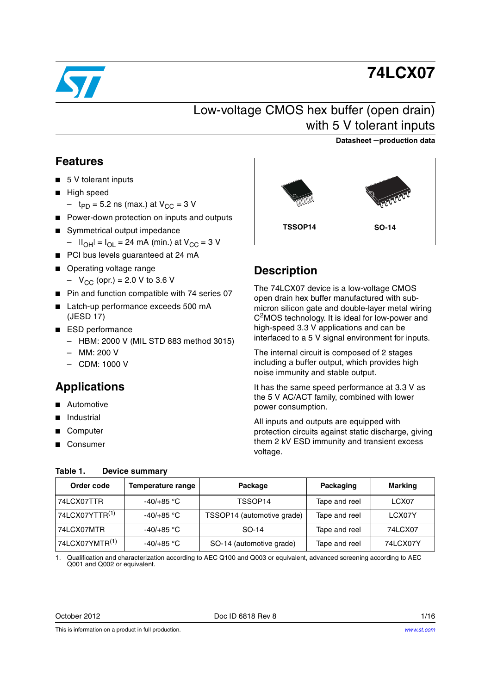

# **74LCX07**

# Low-voltage CMOS hex buffer (open drain) with 5 V tolerant inputs

## **Datasheet** −**production data**

## <span id="page-0-3"></span>**Features**

- 5 V tolerant inputs
- High speed
	- $-$  t<sub>PD</sub> = 5.2 ns (max.) at  $V_{CC}$  = 3 V
- Power-down protection on inputs and outputs
- Symmetrical output impedance –  $|I_{OH}| = I_{OL} = 24$  mA (min.) at  $V_{CC} = 3$  V
- PCI bus levels guaranteed at 24 mA
- Operating voltage range
	- $-V_{\text{CC}}$  (opr.) = 2.0 V to 3.6 V
- Pin and function compatible with 74 series 07
- Latch-up performance exceeds 500 mA (JESD 17)
- ESD performance
	- HBM: 2000 V (MIL STD 883 method 3015)
	- MM: 200 V
	- CDM: 1000 V

<span id="page-0-2"></span>**Table 1. Device summary**

# <span id="page-0-1"></span>**Applications**

- Automotive
- **Industrial**
- Computer
- **Consumer**

# **TSSOP14 SO-14**

## **Description**

The 74LCX07 device is a low-voltage CMOS open drain hex buffer manufactured with submicron silicon gate and double-layer metal wiring C<sup>2</sup>MOS technology. It is ideal for low-power and high-speed 3.3 V applications and can be interfaced to a 5 V signal environment for inputs.

The internal circuit is composed of 2 stages including a buffer output, which provides high noise immunity and stable output.

It has the same speed performance at 3.3 V as the 5 V AC/ACT family, combined with lower power consumption.

All inputs and outputs are equipped with protection circuits against static discharge, giving them 2 kV ESD immunity and transient excess voltage.

| Order code                 | <b>Temperature range</b> | Package                    | Packaging     | <b>Marking</b> |
|----------------------------|--------------------------|----------------------------|---------------|----------------|
| 74LCX07TTR                 | $-40/+85$ °C             | TSSOP14                    | Tape and reel | LCX07          |
| 74LCX07YTTR <sup>(1)</sup> | $-40/+85$ °C             | TSSOP14 (automotive grade) | Tape and reel | LCX07Y         |
| 74LCX07MTR                 | $-40/+85$ °C             | SO-14                      | Tape and reel | 74LCX07        |
| 74LCX07YMTR <sup>(1)</sup> | $-40/+85$ °C             | SO-14 (automotive grade)   | Tape and reel | 74LCX07Y       |

#### <span id="page-0-0"></span>1. Qualification and characterization according to AEC Q100 and Q003 or equivalent, advanced screening according to AEC Q001 and Q002 or equivalent.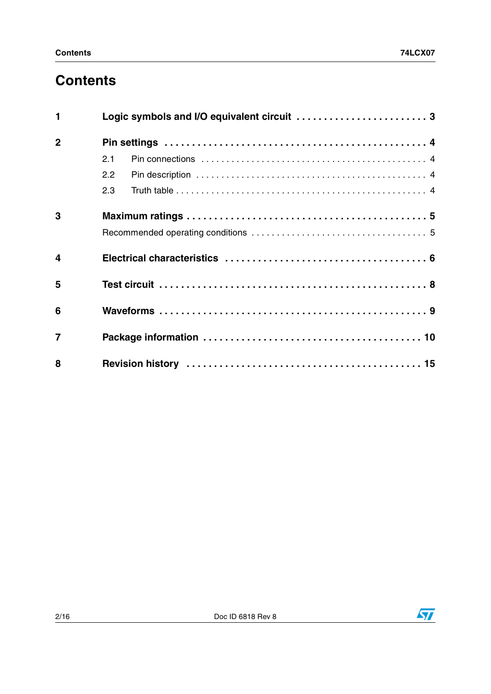# **Contents**

| $\blacksquare$          |     |
|-------------------------|-----|
| $\overline{2}$          |     |
|                         | 2.1 |
|                         | 2.2 |
|                         | 2.3 |
| 3                       |     |
|                         |     |
| $\overline{\mathbf{4}}$ |     |
| 5                       |     |
| 6                       |     |
| $\overline{7}$          |     |
| 8                       |     |

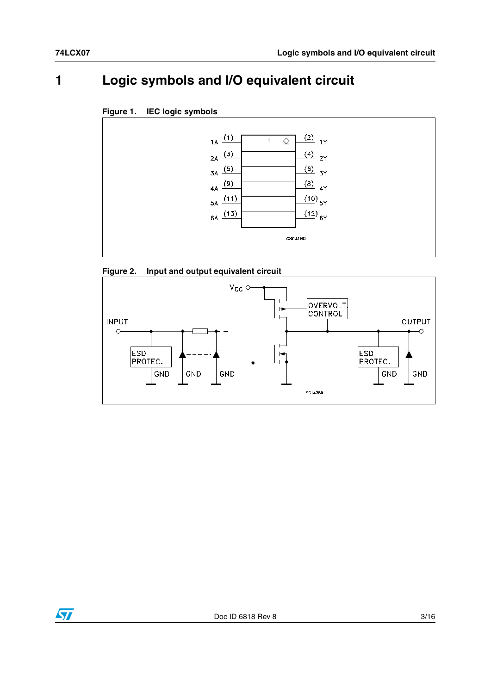# <span id="page-2-0"></span>**1 Logic symbols and I/O equivalent circuit**









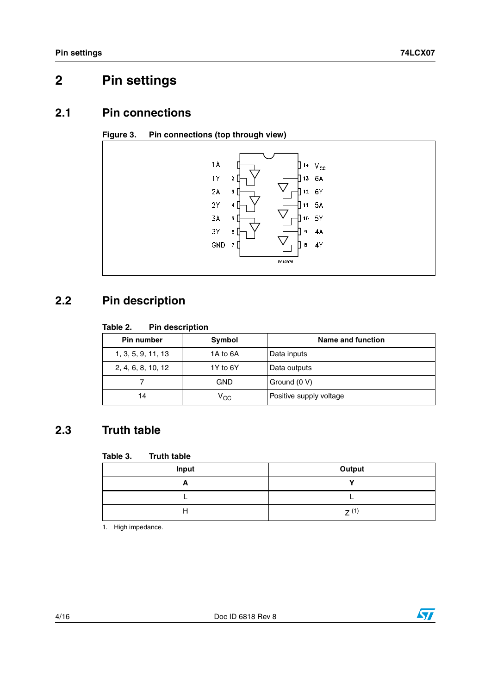# <span id="page-3-0"></span>**2 Pin settings**

## <span id="page-3-1"></span>**2.1 Pin connections**





# <span id="page-3-2"></span>**2.2 Pin description**

## **Table 2. Pin description**

| Pin number         | Symbol       | Name and function       |
|--------------------|--------------|-------------------------|
| 1, 3, 5, 9, 11, 13 | 1A to 6A     | Data inputs             |
| 2, 4, 6, 8, 10, 12 | 1Y to 6Y     | Data outputs            |
|                    | GND          | Ground (0 V)            |
| 14                 | $\rm v_{cc}$ | Positive supply voltage |

# <span id="page-3-3"></span>**2.3 Truth table**

## **Table 3. Truth table**

| Input | Output |
|-------|--------|
| −     |        |
|       |        |
| н     | 7(1)   |

1. High impedance.

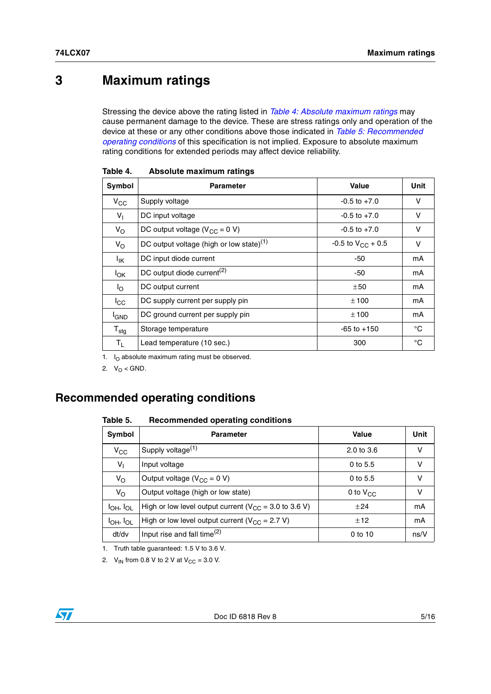# <span id="page-4-0"></span>**3 Maximum ratings**

Stressing the device above the rating listed in *[Table 4: Absolute maximum ratings](#page-4-2)* may cause permanent damage to the device. These are stress ratings only and operation of the device at these or any other conditions above those indicated in *[Table 5: Recommended](#page-4-3)  [operating conditions](#page-4-3)* of this specification is not implied. Exposure to absolute maximum rating conditions for extended periods may affect device reliability.

| Symbol                       | <b>Parameter</b>                                     | Value                  | Unit   |
|------------------------------|------------------------------------------------------|------------------------|--------|
| $V_{CC}$                     | Supply voltage                                       | $-0.5$ to $+7.0$       | $\vee$ |
| $V_{\parallel}$              | DC input voltage                                     | $-0.5$ to $+7.0$       | V      |
| $V_{\rm O}$                  | DC output voltage ( $V_{CC} = 0 V$ )                 | $-0.5$ to $+7.0$       | V      |
| $V_{\rm O}$                  | DC output voltage (high or low state) <sup>(1)</sup> | -0.5 to $V_{CC}$ + 0.5 | v      |
| <sup>I</sup> IK              | DC input diode current                               | -50                    | mA     |
| $I_{OK}$                     | DC output diode current <sup>(2)</sup>               | -50                    | mA     |
| lo.                          | DC output current                                    | ±50                    | mA     |
| $_{\rm lcc}$                 | DC supply current per supply pin                     | ±100                   | mA     |
| <sup>I</sup> GND             | DC ground current per supply pin                     | ±100                   | mA     |
| ${\mathsf T}_{\textsf{stg}}$ | Storage temperature                                  | $-65$ to $+150$        | °C     |
| T <sub>L</sub>               | Lead temperature (10 sec.)                           | 300                    | °C     |

<span id="page-4-2"></span>Table 4. **Absolute maximum ratings** 

1.  $I_{\Omega}$  absolute maximum rating must be observed.

2.  $V_0 < GND$ .

## <span id="page-4-1"></span>**Recommended operating conditions**

#### <span id="page-4-3"></span>Table 5. **Table 5. Recommended operating conditions**

| Symbol              | <b>Parameter</b>                                            | Value                 | Unit |
|---------------------|-------------------------------------------------------------|-----------------------|------|
| $V_{\rm CC}$        | Supply voltage <sup>(1)</sup>                               | $2.0 \text{ to } 3.6$ | v    |
| $V_{\parallel}$     | Input voltage                                               | 0 to 5.5              | v    |
| $V_{\rm O}$         | Output voltage ( $V_{CC}$ = 0 V)                            | 0 to 5.5              | v    |
| $V_{\rm O}$         | Output voltage (high or low state)                          | 0 to $V_{CC}$         | v    |
| $I_{OH}$ , $I_{OL}$ | High or low level output current ( $V_{CC}$ = 3.0 to 3.6 V) | ±24                   | mA   |
| $I_{OH}$ , $I_{OL}$ | High or low level output current ( $V_{CC}$ = 2.7 V)        | ±12                   | mA   |
| dt/dv               | Input rise and fall time $(2)$                              | 0 to 10               | ns/V |

1. Truth table guaranteed: 1.5 V to 3.6 V.

2.  $V_{IN}$  from 0.8 V to 2 V at  $V_{CC} = 3.0$  V.

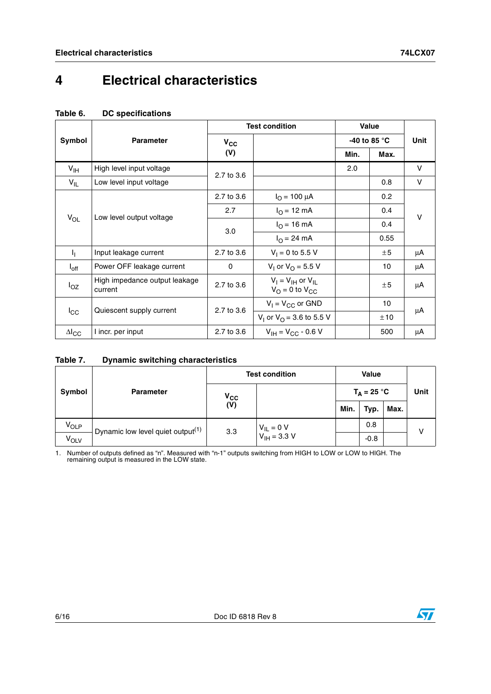# <span id="page-5-0"></span>**4 Electrical characteristics**

## **Table 6. DC specifications**

|                 |                                          | <b>Test condition</b> |                                                                   | <b>Value</b> |                        |        |
|-----------------|------------------------------------------|-----------------------|-------------------------------------------------------------------|--------------|------------------------|--------|
| Symbol          | <b>Parameter</b>                         | $V_{CC}$              |                                                                   |              | -40 to 85 $^{\circ}$ C | Unit   |
|                 |                                          | (V)                   |                                                                   | Min.         | Max.                   |        |
| $V_{\text{IH}}$ | High level input voltage                 | 2.7 to 3.6            |                                                                   | 2.0          |                        | V      |
| $V_{IL}$        | Low level input voltage                  |                       |                                                                   |              | 0.8                    | V      |
|                 |                                          | 2.7 to 3.6            | $I_{\Omega}$ = 100 µA                                             |              | 0.2                    |        |
|                 | $V_{OL}$<br>Low level output voltage     | 2.7                   | $I_{O} = 12 \text{ mA}$                                           |              | 0.4                    | $\vee$ |
|                 |                                          | 3.0                   | $I_{\Omega}$ = 16 mA                                              |              | 0.4                    |        |
|                 |                                          |                       | $I_{\Omega} = 24 \text{ mA}$                                      |              | 0.55                   |        |
| Ч.              | Input leakage current                    | 2.7 to 3.6            | $V_1 = 0$ to 5.5 V                                                |              | ±5                     | μA     |
| $I_{\rm off}$   | Power OFF leakage current                | $\Omega$              | $V_1$ or $V_0 = 5.5$ V                                            |              | 10                     | μA     |
| $I_{OZ}$        | High impedance output leakage<br>current | 2.7 to 3.6            | $V_I = V_{IH}$ or $V_{IL}$<br>$V_{\Omega} = 0$ to $V_{\text{CC}}$ |              | ±5                     | μA     |
|                 |                                          |                       | $V_1 = V_{CC}$ or GND                                             |              | 10                     |        |
| $I_{\rm CC}$    | Quiescent supply current                 | 2.7 to 3.6            | V <sub>1</sub> or V <sub>O</sub> = 3.6 to 5.5 V                   |              | ±10                    | μA     |
| $\Delta I_{CC}$ | I incr. per input                        | 2.7 to 3.6            | $V_{IH} = V_{CC} - 0.6 V$                                         |              | 500                    | μA     |

## **Table 7. Dynamic switching characteristics**

|        |                                               |              | <b>Test condition</b>              |  | Value         |      |      |      |  |
|--------|-----------------------------------------------|--------------|------------------------------------|--|---------------|------|------|------|--|
| Symbol | <b>Parameter</b>                              | $V_{\rm CC}$ |                                    |  | $T_A = 25 °C$ |      | Unit |      |  |
|        |                                               | (V)          |                                    |  |               | Min. | Typ. | Max. |  |
| VOLP   | Dynamic low level quiet output <sup>(1)</sup> | 3.3          | $V_{IL} = 0 V$<br>$V_{IH} = 3.3 V$ |  | 0.8           |      | v    |      |  |
| VOLV   |                                               |              |                                    |  | $-0.8$        |      |      |      |  |

1. Number of outputs defined as "n". Measured with "n-1" outputs switching from HIGH to LOW or LOW to HIGH. The remaining output is measured in the LOW state.

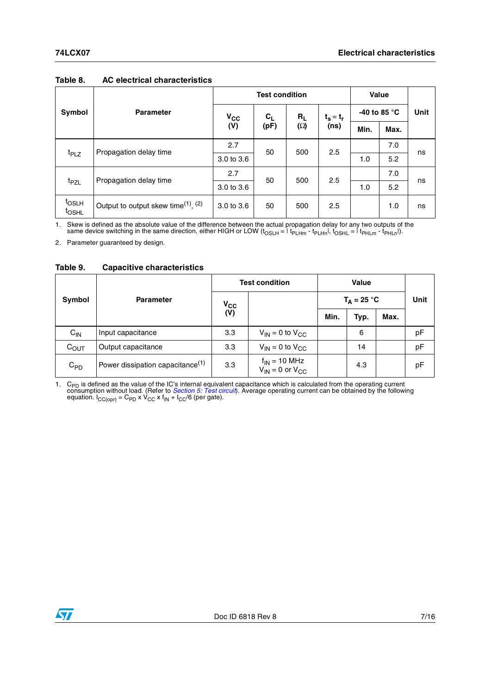|                                        |                                                            | <b>Test condition</b> |         |            |             | Value                 |      |             |
|----------------------------------------|------------------------------------------------------------|-----------------------|---------|------------|-------------|-----------------------|------|-------------|
| Symbol                                 | <b>Parameter</b>                                           | $v_{\rm cc}$          | $c_{L}$ | $R_L$      | $t_s = t_r$ | -40 to 85 $\degree$ C |      | <b>Unit</b> |
|                                        |                                                            | (V)                   | (pF)    | $(\Omega)$ | (ns)        | Min.                  | Max. |             |
|                                        | Propagation delay time                                     | 2.7                   | 50      | 500        | 2.5         |                       | 7.0  | ns          |
| t <sub>PLZ</sub>                       |                                                            | 3.0 to 3.6            |         |            |             | 1.0                   | 5.2  |             |
|                                        | Propagation delay time                                     | 2.7                   | 50      | 500        | 2.5         |                       | 7.0  | ns          |
| t <sub>PZL</sub>                       |                                                            | 3.0 to 3.6            |         |            |             | 1.0                   | 5.2  |             |
| t <sub>OSLH</sub><br><sup>t</sup> OSHL | Output to output skew time <sup>(1)</sup> , <sup>(2)</sup> | $3.0 \text{ to } 3.6$ | 50      | 500        | 2.5         |                       | 1.0  | ns          |

### **Table 8. AC electrical characteristics**

1. Skew is defined as the absolute value of the difference between the actual propagation delay for any two outputs of the same direction, either HIGH or LOW ( $t_{OSLH} = 1$  t<sub>PLHm</sub> -  $t_{PLHn}$ ],  $t_{OSHL} = 1$  t<sub>PHLm</sub> -  $t_{PHHm}$ 

2. Parameter guaranteed by design.

| <b>Capacitive characteristics</b><br>Table 9. |
|-----------------------------------------------|
|-----------------------------------------------|

|                   |                                              | <b>Test condition</b> |                                                             | <b>Value</b>  |      |      |      |  |
|-------------------|----------------------------------------------|-----------------------|-------------------------------------------------------------|---------------|------|------|------|--|
| Symbol            | <b>Parameter</b>                             | $V_{CC}$              |                                                             | $T_A = 25 °C$ |      | Unit |      |  |
|                   |                                              | (V)                   |                                                             |               | Min. | Typ. | Max. |  |
| $C_{\mathsf{IN}}$ | Input capacitance                            | 3.3                   | $V_{IN}$ = 0 to $V_{CC}$                                    |               | 6    |      | pF   |  |
| $C_{\text{OUT}}$  | Output capacitance                           | 3.3                   | $V_{IN}$ = 0 to $V_{CC}$                                    |               | 14   |      | pF   |  |
| $C_{PD}$          | Power dissipation capacitance <sup>(1)</sup> | 3.3                   | $f_{IN}$ = 10 MHz<br>V <sub>IN</sub> = 0 or V <sub>CC</sub> |               | 4.3  |      | pF   |  |

1. C<sub>PD</sub> is defined as the value of the IC's internal equivalent capacitance which is calculated from the operating current consumption without load. (Refer to *[Section 5: Test circuit](#page-7-0)*). Average operating current can be

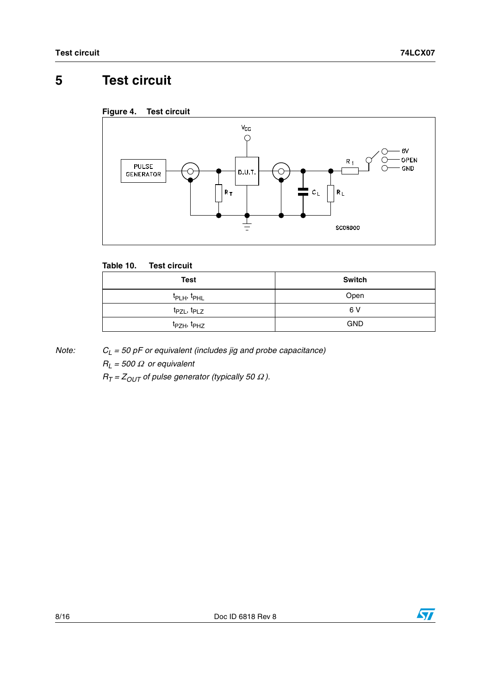# <span id="page-7-0"></span>**5 Test circuit**





## **Table 10. Test circuit**

| Test                                | <b>Switch</b> |
|-------------------------------------|---------------|
| t <sub>PLH</sub> , t <sub>PHL</sub> | Open          |
| t <sub>PZL</sub> , t <sub>PLZ</sub> | 6 V           |
| t <sub>PZH</sub> , t <sub>PHZ</sub> | <b>GND</b>    |

*Note: CL = 50 pF or equivalent (includes jig and probe capacitance)*

*RL = 500* Ω *or equivalent*

 $R_T = Z_{OUT}$  of pulse generator (typically 50  $\Omega$ ).

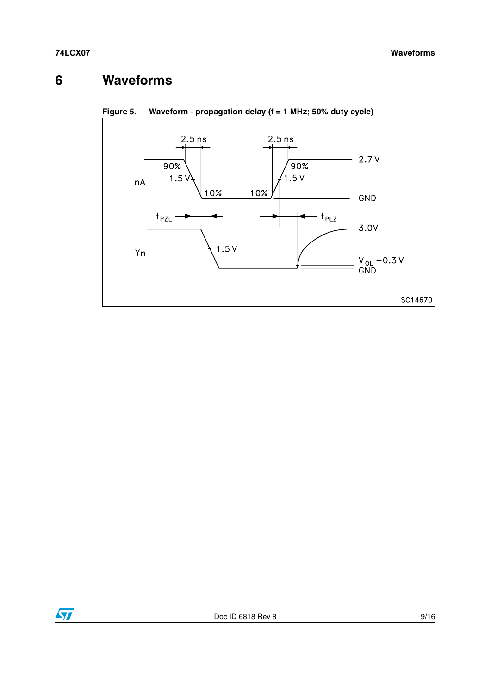# <span id="page-8-0"></span>**6 Waveforms**





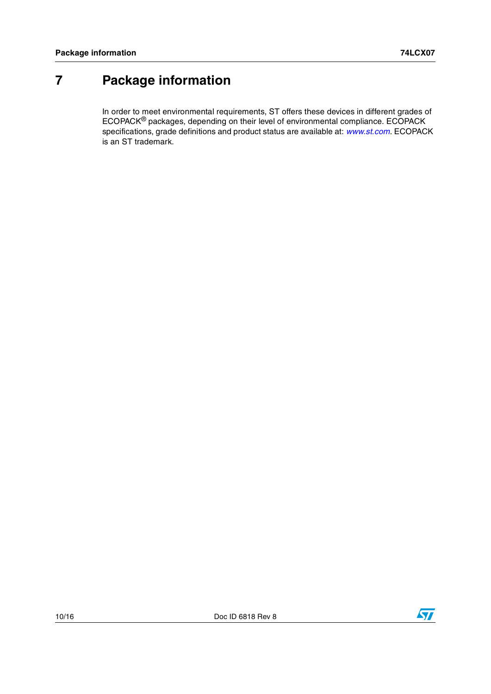# <span id="page-9-0"></span>**7 Package information**

In order to meet environmental requirements, ST offers these devices in different grades of ECOPACK® packages, depending on their level of environmental compliance. ECOPACK specifications, grade definitions and product status are available at: *[www.st.com](http://www.st.com)*. ECOPACK is an ST trademark.

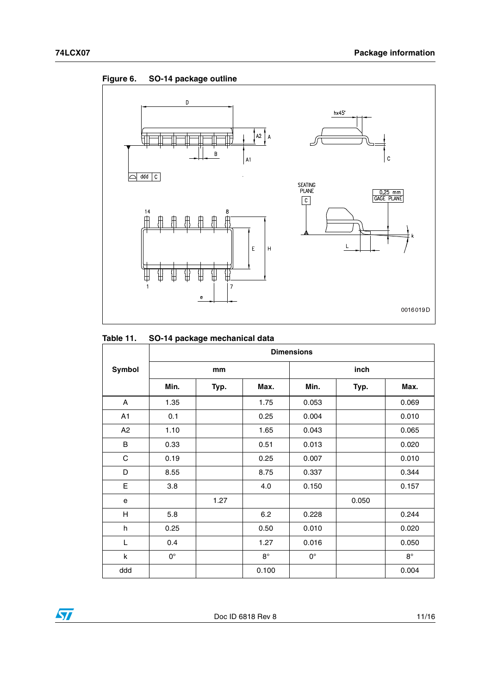**Figure 6. SO-14 package outline**



## **Table 11. SO-14 package mechanical data**

|                | <b>Dimensions</b> |      |           |             |       |             |
|----------------|-------------------|------|-----------|-------------|-------|-------------|
| Symbol         |                   | mm   |           |             | inch  |             |
|                | Min.              | Typ. | Max.      | Min.        | Typ.  | Max.        |
| A              | 1.35              |      | 1.75      | 0.053       |       | 0.069       |
| A1             | 0.1               |      | 0.25      | 0.004       |       | 0.010       |
| A <sub>2</sub> | 1.10              |      | 1.65      | 0.043       |       | 0.065       |
| B              | 0.33              |      | 0.51      | 0.013       |       | 0.020       |
| C              | 0.19              |      | 0.25      | 0.007       |       | 0.010       |
| D              | 8.55              |      | 8.75      | 0.337       |       | 0.344       |
| Е              | 3.8               |      | 4.0       | 0.150       |       | 0.157       |
| e              |                   | 1.27 |           |             | 0.050 |             |
| H              | 5.8               |      | 6.2       | 0.228       |       | 0.244       |
| h              | 0.25              |      | 0.50      | 0.010       |       | 0.020       |
| L              | 0.4               |      | 1.27      | 0.016       |       | 0.050       |
| k              | $0^{\circ}$       |      | $8^\circ$ | $0^{\circ}$ |       | $8^{\circ}$ |
| ddd            |                   |      | 0.100     |             |       | 0.004       |

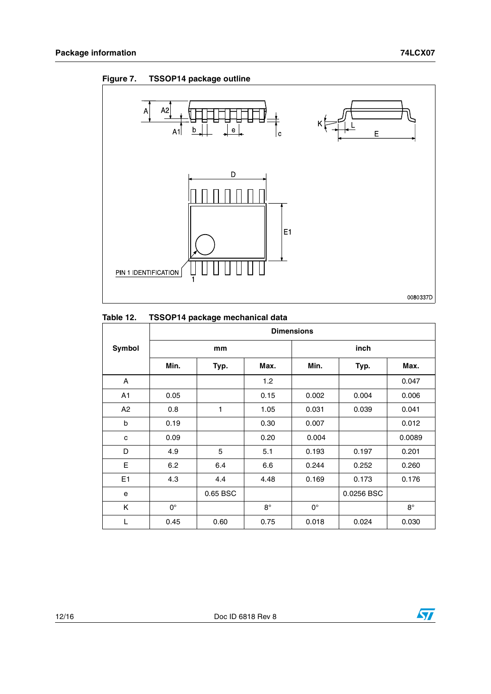

## **Figure 7. TSSOP14 package outline**

## **Table 12. TSSOP14 package mechanical data**

|                | <b>Dimensions</b> |          |           |             |            |           |
|----------------|-------------------|----------|-----------|-------------|------------|-----------|
| Symbol         |                   | mm       |           |             | inch       |           |
|                | Min.              | Typ.     | Max.      | Min.        | Typ.       | Max.      |
| A              |                   |          | 1.2       |             |            | 0.047     |
| A <sub>1</sub> | 0.05              |          | 0.15      | 0.002       | 0.004      | 0.006     |
| A2             | 0.8               | 1        | 1.05      | 0.031       | 0.039      | 0.041     |
| b              | 0.19              |          | 0.30      | 0.007       |            | 0.012     |
| c              | 0.09              |          | 0.20      | 0.004       |            | 0.0089    |
| D              | 4.9               | 5        | 5.1       | 0.193       | 0.197      | 0.201     |
| Е              | 6.2               | 6.4      | 6.6       | 0.244       | 0.252      | 0.260     |
| E <sub>1</sub> | 4.3               | 4.4      | 4.48      | 0.169       | 0.173      | 0.176     |
| e              |                   | 0.65 BSC |           |             | 0.0256 BSC |           |
| Κ              | $0^{\circ}$       |          | $8^\circ$ | $0^{\circ}$ |            | $8^\circ$ |
| L              | 0.45              | 0.60     | 0.75      | 0.018       | 0.024      | 0.030     |

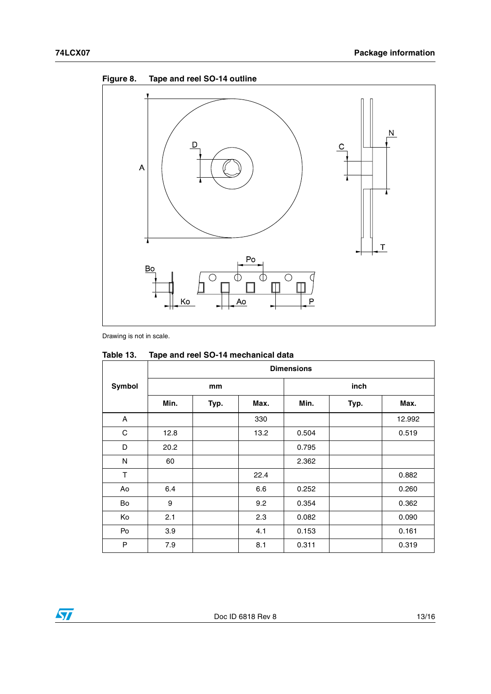

**Figure 8. Tape and reel SO-14 outline**

Drawing is not in scale.

|               | <b>Dimensions</b> |      |      |       |      |        |
|---------------|-------------------|------|------|-------|------|--------|
| <b>Symbol</b> |                   | mm   |      |       | inch |        |
|               | Min.              | Typ. | Max. | Min.  | Typ. | Max.   |
| A             |                   |      | 330  |       |      | 12.992 |
| C             | 12.8              |      | 13.2 | 0.504 |      | 0.519  |
| D             | 20.2              |      |      | 0.795 |      |        |
| N             | 60                |      |      | 2.362 |      |        |
| T             |                   |      | 22.4 |       |      | 0.882  |
| Ao            | 6.4               |      | 6.6  | 0.252 |      | 0.260  |
| Bo            | 9                 |      | 9.2  | 0.354 |      | 0.362  |
| Ko            | 2.1               |      | 2.3  | 0.082 |      | 0.090  |
| Po            | 3.9               |      | 4.1  | 0.153 |      | 0.161  |
| P             | 7.9               |      | 8.1  | 0.311 |      | 0.319  |

## **Table 13. Tape and reel SO-14 mechanical data**

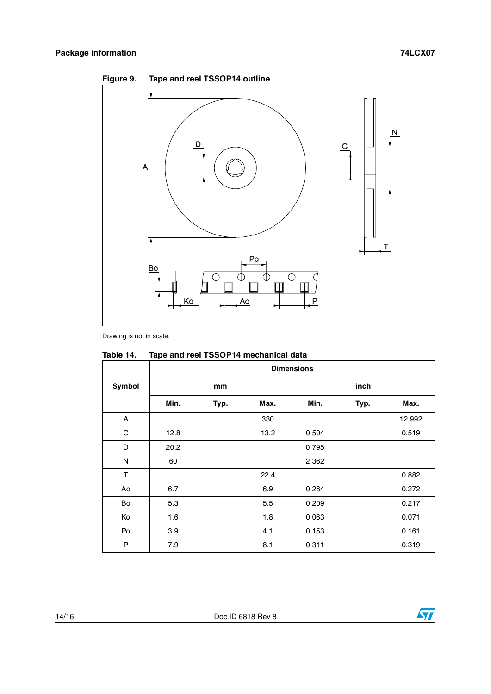



Drawing is not in scale.

|        | <b>Dimensions</b> |      |      |       |      |        |
|--------|-------------------|------|------|-------|------|--------|
| Symbol |                   | mm   |      |       | inch |        |
|        | Min.              | Typ. | Max. | Min.  | Typ. | Max.   |
| A      |                   |      | 330  |       |      | 12.992 |
| С      | 12.8              |      | 13.2 | 0.504 |      | 0.519  |
| D      | 20.2              |      |      | 0.795 |      |        |
| N      | 60                |      |      | 2.362 |      |        |
| T      |                   |      | 22.4 |       |      | 0.882  |
| Ao     | 6.7               |      | 6.9  | 0.264 |      | 0.272  |
| Bo     | 5.3               |      | 5.5  | 0.209 |      | 0.217  |
| Ko     | 1.6               |      | 1.8  | 0.063 |      | 0.071  |
| Po     | 3.9               |      | 4.1  | 0.153 |      | 0.161  |
| P      | 7.9               |      | 8.1  | 0.311 |      | 0.319  |

## **Table 14. Tape and reel TSSOP14 mechanical data**

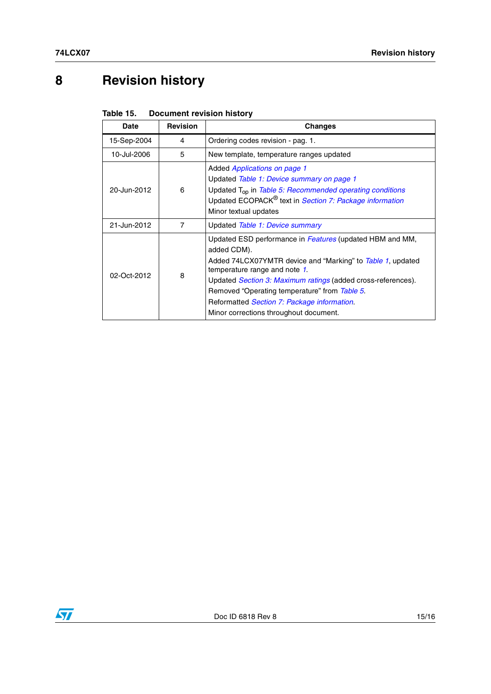# <span id="page-14-0"></span>**8 Revision history**

| Table 15. | <b>Document revision history</b> |  |  |
|-----------|----------------------------------|--|--|
|-----------|----------------------------------|--|--|

| Date        | <b>Revision</b> | Changes                                                                                                                                                                                                                                                                                                                                                                          |
|-------------|-----------------|----------------------------------------------------------------------------------------------------------------------------------------------------------------------------------------------------------------------------------------------------------------------------------------------------------------------------------------------------------------------------------|
| 15-Sep-2004 | 4               | Ordering codes revision - pag. 1.                                                                                                                                                                                                                                                                                                                                                |
| 10-Jul-2006 | 5               | New template, temperature ranges updated                                                                                                                                                                                                                                                                                                                                         |
| 20-Jun-2012 | 6               | Added Applications on page 1<br>Updated Table 1: Device summary on page 1<br>Updated T <sub>op</sub> in Table 5: Recommended operating conditions<br>Updated ECOPACK® text in Section 7: Package information<br>Minor textual updates                                                                                                                                            |
| 21-Jun-2012 | 7               | Updated Table 1: Device summary                                                                                                                                                                                                                                                                                                                                                  |
| 02-Oct-2012 | 8               | Updated ESD performance in Features (updated HBM and MM,<br>added CDM).<br>Added 74LCX07YMTR device and "Marking" to Table 1, updated<br>temperature range and note 1.<br>Updated Section 3: Maximum ratings (added cross-references).<br>Removed "Operating temperature" from Table 5.<br>Reformatted Section 7: Package information.<br>Minor corrections throughout document. |